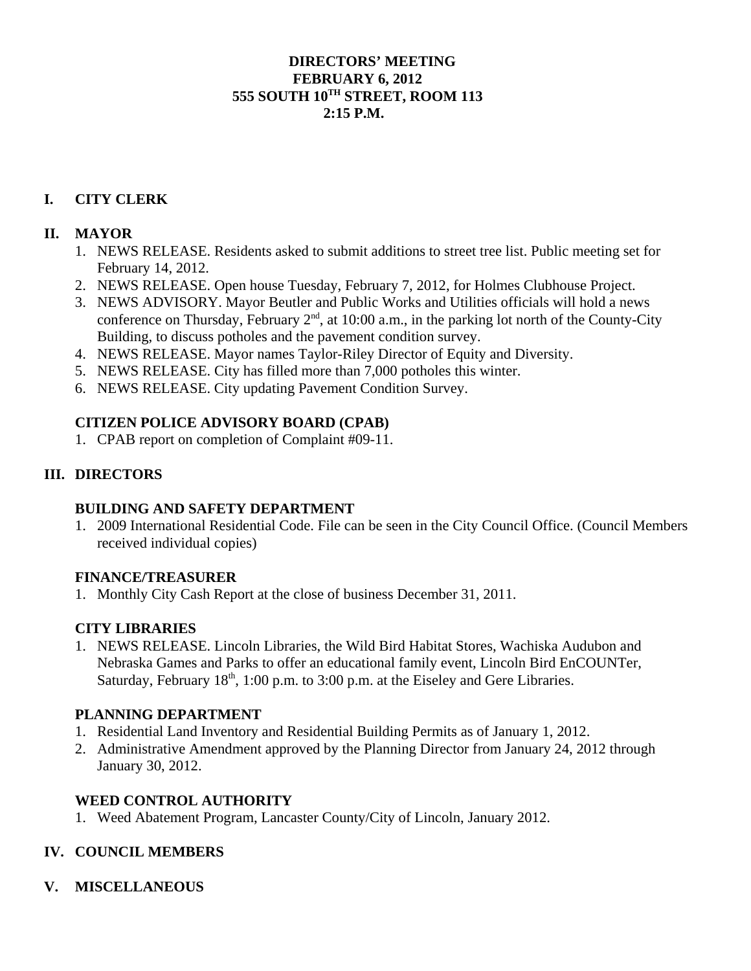#### **DIRECTORS' MEETING FEBRUARY 6, 2012 555 SOUTH 10TH STREET, ROOM 113 2:15 P.M.**

# **I. CITY CLERK**

#### **II. MAYOR**

- 1. NEWS RELEASE. Residents asked to submit additions to street tree list. Public meeting set for February 14, 2012.
- 2. NEWS RELEASE. Open house Tuesday, February 7, 2012, for Holmes Clubhouse Project.
- 3. NEWS ADVISORY. Mayor Beutler and Public Works and Utilities officials will hold a news conference on Thursday, February  $2<sup>nd</sup>$ , at 10:00 a.m., in the parking lot north of the County-City Building, to discuss potholes and the pavement condition survey.
- 4. NEWS RELEASE. Mayor names Taylor-Riley Director of Equity and Diversity.
- 5. NEWS RELEASE. City has filled more than 7,000 potholes this winter.
- 6. NEWS RELEASE. City updating Pavement Condition Survey.

## **CITIZEN POLICE ADVISORY BOARD (CPAB)**

1. CPAB report on completion of Complaint #09-11.

## **III. DIRECTORS**

## **BUILDING AND SAFETY DEPARTMENT**

1. 2009 International Residential Code. File can be seen in the City Council Office. (Council Members received individual copies)

## **FINANCE/TREASURER**

1. Monthly City Cash Report at the close of business December 31, 2011.

## **CITY LIBRARIES**

1. NEWS RELEASE. Lincoln Libraries, the Wild Bird Habitat Stores, Wachiska Audubon and Nebraska Games and Parks to offer an educational family event, Lincoln Bird EnCOUNTer, Saturday, February 18<sup>th</sup>, 1:00 p.m. to 3:00 p.m. at the Eiseley and Gere Libraries.

## **PLANNING DEPARTMENT**

- 1. Residential Land Inventory and Residential Building Permits as of January 1, 2012.
- 2. Administrative Amendment approved by the Planning Director from January 24, 2012 through January 30, 2012.

## **WEED CONTROL AUTHORITY**

1. Weed Abatement Program, Lancaster County/City of Lincoln, January 2012.

## **IV. COUNCIL MEMBERS**

**V. MISCELLANEOUS**